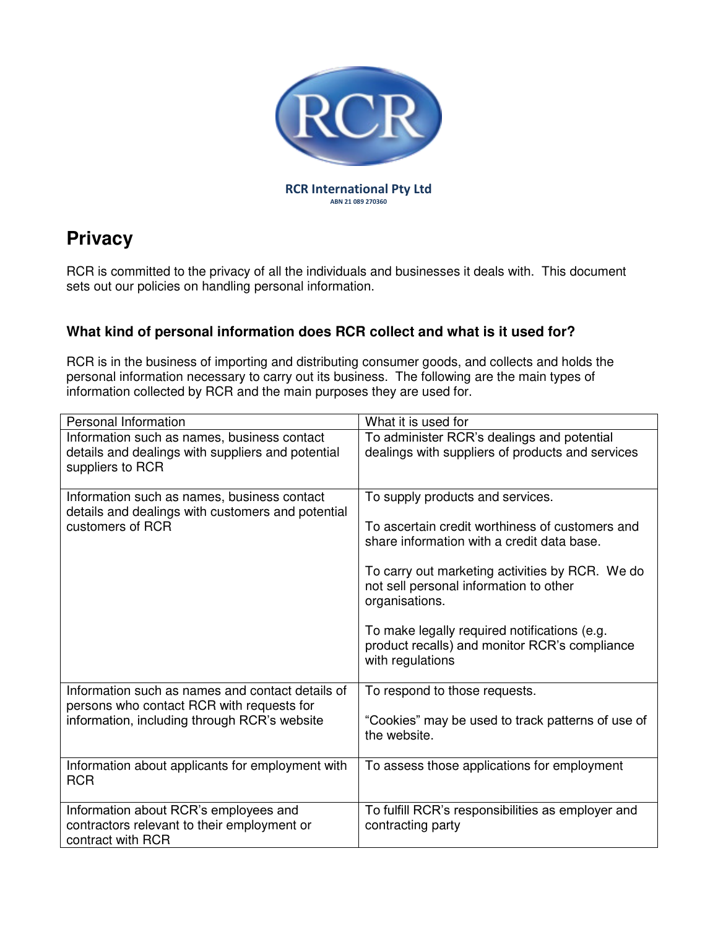

# **Privacy**

RCR is committed to the privacy of all the individuals and businesses it deals with. This document sets out our policies on handling personal information.

# **What kind of personal information does RCR collect and what is it used for?**

RCR is in the business of importing and distributing consumer goods, and collects and holds the personal information necessary to carry out its business. The following are the main types of information collected by RCR and the main purposes they are used for.

| Personal Information                                                                                                 | What it is used for                                                                                               |
|----------------------------------------------------------------------------------------------------------------------|-------------------------------------------------------------------------------------------------------------------|
| Information such as names, business contact                                                                          | To administer RCR's dealings and potential                                                                        |
| details and dealings with suppliers and potential<br>suppliers to RCR                                                | dealings with suppliers of products and services                                                                  |
| Information such as names, business contact<br>details and dealings with customers and potential<br>customers of RCR | To supply products and services.<br>To ascertain credit worthiness of customers and                               |
|                                                                                                                      | share information with a credit data base.                                                                        |
|                                                                                                                      | To carry out marketing activities by RCR. We do<br>not sell personal information to other<br>organisations.       |
|                                                                                                                      | To make legally required notifications (e.g.<br>product recalls) and monitor RCR's compliance<br>with regulations |
| Information such as names and contact details of<br>persons who contact RCR with requests for                        | To respond to those requests.                                                                                     |
| information, including through RCR's website                                                                         | "Cookies" may be used to track patterns of use of<br>the website.                                                 |
| Information about applicants for employment with<br><b>RCR</b>                                                       | To assess those applications for employment                                                                       |
| Information about RCR's employees and<br>contractors relevant to their employment or<br>contract with RCR            | To fulfill RCR's responsibilities as employer and<br>contracting party                                            |